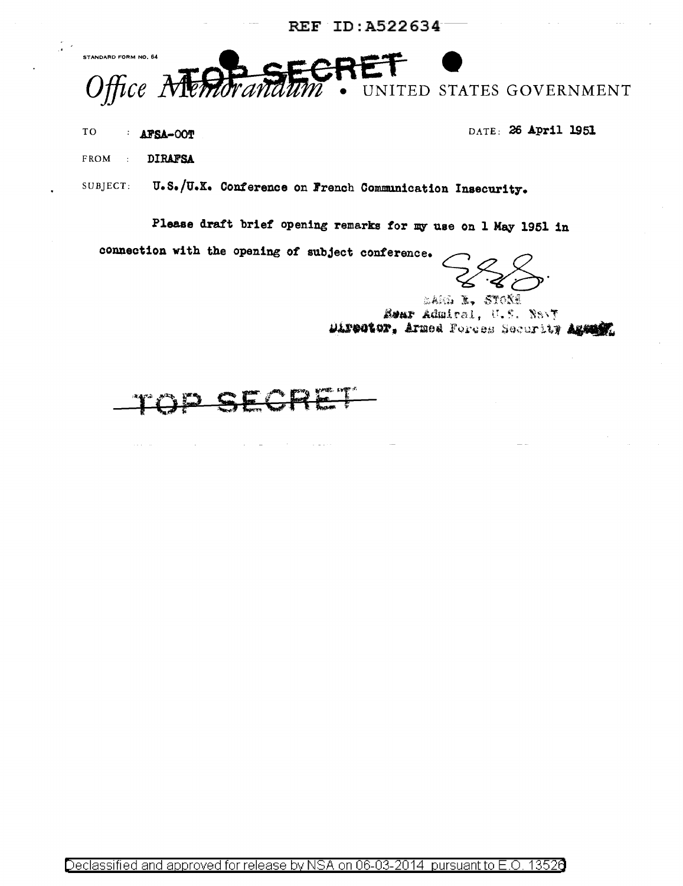REF ID: A522634

STANDARD FORM NO. 64  $\textit{Office } A$ UNITED STATES GOVERNMENT

TO **AFSA-00T**  DATE: 26 April 1951

**DIRAFSA** FROM  $\sim$  t  $^{\circ}$ 

SUBJECT: U.S./U.K. Conference on French Communication Insecurity.

Please draft brief opening remarks for my use on 1 May 1951 in

connection with the opening of subject conference.

LAM L. STOXE Rear Admiral, U.S. Nevy Director, Armed Forces Security Agent

 $\bar{z}$ 

 $\sim$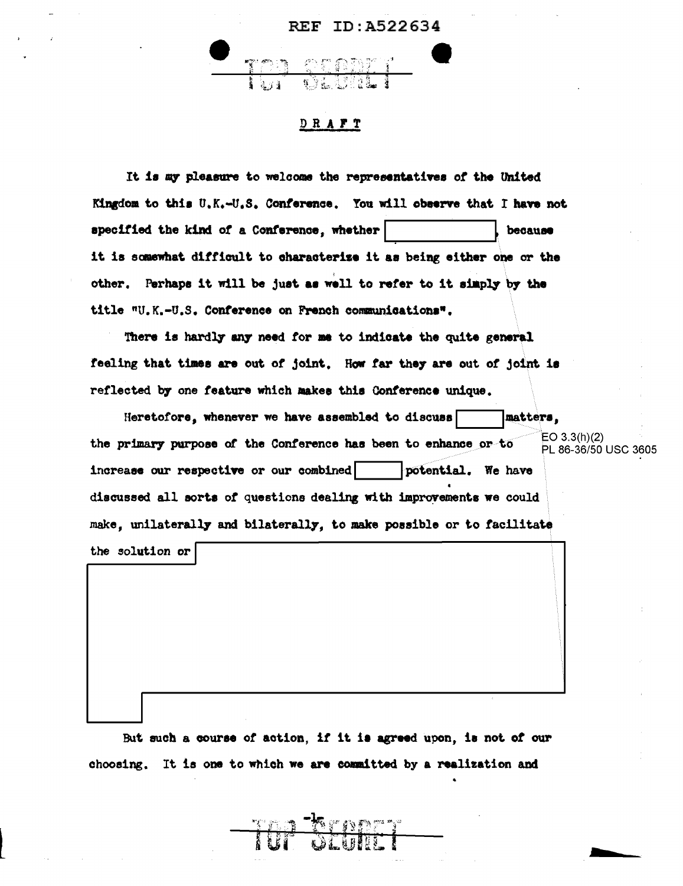

## DRAFT

It is my pleasure to welcome the representatives of the United Kingdom to this U.K.-U.S. Conference. You will observe that I have not specified the kind of a Conference, whether because it is somewhat difficult to characterize it as being either one or the other. Perhaps it will be just as well to refer to it simply by the title "U.K.-U.S. Conference on French communications".

There is hardly any need for me to indicate the quite general feeling that times are out of joint. How far they are out of joint is reflected by one feature which makes this Conference unique.

matters. Heretofore, whenever we have assembled to discuss EO  $3.3(h)(2)$ the primary purpose of the Conference has been to enhance or to PL 86-36/50 USC 3605 increase our respective or our combined potential. We have discussed all sorts of questions dealing with improvements we could make, unilaterally and bilaterally, to make possible or to facilitate the solution or

But such a course of action, if it is agreed upon, is not of our choosing. It is one to which we are committed by a realization and

<u> Kropet</u>